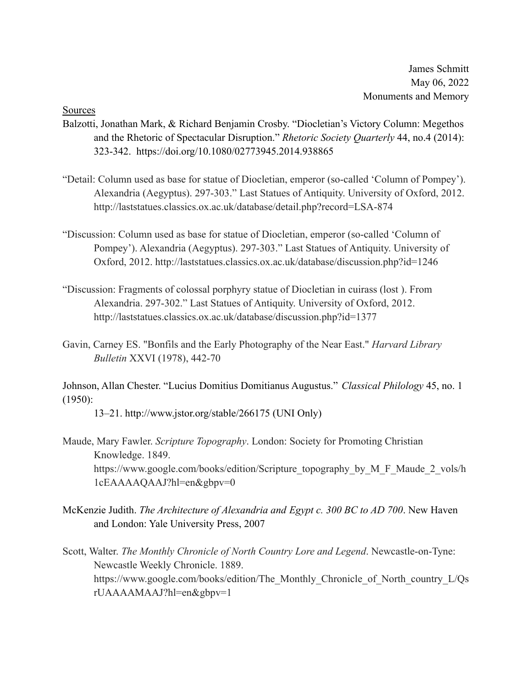James Schmitt May 06, 2022 Monuments and Memory

Sources

- Balzotti, Jonathan Mark, & Richard Benjamin Crosby. "Diocletian's Victory Column: Megethos and the Rhetoric of Spectacular Disruption." *Rhetoric Society Quarterly* 44, no.4 (2014): 323-342. https://doi.org/10.1080/02773945.2014.938865
- "Detail: Column used as base for statue of Diocletian, emperor (so-called 'Column of Pompey'). Alexandria (Aegyptus). 297-303." Last Statues of Antiquity. University of Oxford, 2012. http://laststatues.classics.ox.ac.uk/database/detail.php?record=LSA-874
- "Discussion: Column used as base for statue of Diocletian, emperor (so-called 'Column of Pompey'). Alexandria (Aegyptus). 297-303." Last Statues of Antiquity. University of Oxford, 2012. http://laststatues.classics.ox.ac.uk/database/discussion.php?id=1246
- "Discussion: Fragments of colossal porphyry statue of Diocletian in cuirass (lost ). From Alexandria. 297-302." Last Statues of Antiquity. University of Oxford, 2012. http://laststatues.classics.ox.ac.uk/database/discussion.php?id=1377
- Gavin, Carney ES. "Bonfils and the Early Photography of the Near East." *Harvard Library Bulletin* XXVI (1978), 442-70

Johnson, Allan Chester. "Lucius Domitius Domitianus Augustus." *Classical Philology* 45, no. 1 (1950):

13–21. http://www.jstor.org/stable/266175 (UNI Only)

- Maude, Mary Fawler. *Scripture Topography*. London: Society for Promoting Christian Knowledge. 1849. https://www.google.com/books/edition/Scripture\_topography\_by\_M\_F\_Maude\_2\_vols/h\_ 1cEAAAAQAAJ?hl=en&gbpv=0
- McKenzie Judith. *The Architecture of Alexandria and Egypt c. 300 BC to AD 700*. New Haven and London: Yale University Press, 2007
- Scott, Walter. *The Monthly Chronicle of North Country Lore and Legend*. Newcastle-on-Tyne: Newcastle Weekly Chronicle. 1889. https://www.google.com/books/edition/The\_Monthly\_Chronicle\_of\_North\_country\_L/Qs rUAAAAMAAJ?hl=en&gbpv=1